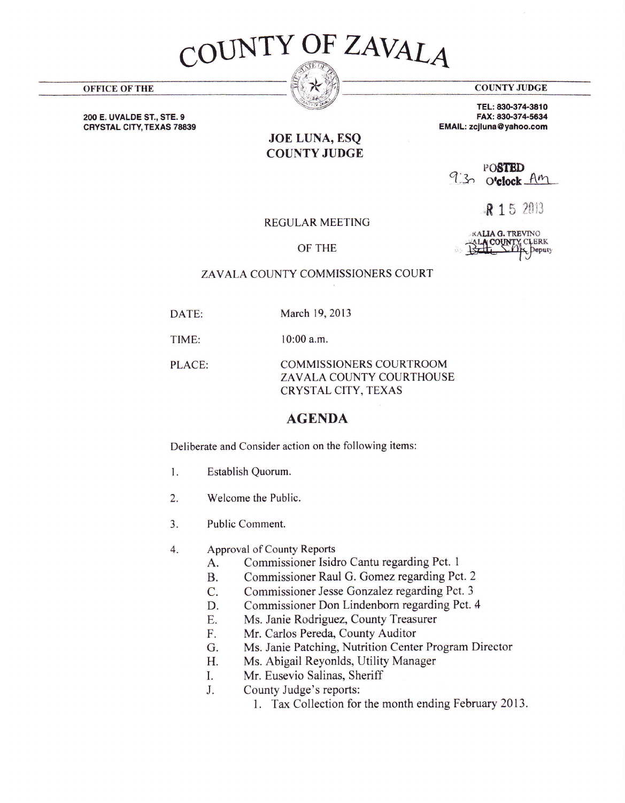

**OFFICE OF THE** 

**COUNTY JUDGE** 

EMAIL: zcjluna@yahoo.com

TEL: 830-374-3810 FAX: 830-374-5634

200 E. UVALDE ST., STE. 9 **CRYSTAL CITY, TEXAS 78839** 

## **JOE LUNA, ESQ COUNTY JUDGE**

POSTED 9:30 o'clock Am

R 15 2013

**REGULAR MEETING** 

OF THE

**KALIA G. TREVINO** ACOUNT **CLERK** 

## ZAVALA COUNTY COMMISSIONERS COURT

March 19, 2013 DATE:

TIME:  $10:00$  a.m.

PLACE: **COMMISSIONERS COURTROOM** ZAVALA COUNTY COURTHOUSE **CRYSTAL CITY, TEXAS** 

## **AGENDA**

Deliberate and Consider action on the following items:

- $1.$ Establish Quorum.
- $2.$ Welcome the Public.
- Public Comment.  $3<sub>1</sub>$
- $\overline{4}$ . Approval of County Reports
	- Commissioner Isidro Cantu regarding Pct. 1 A.
	- Commissioner Raul G. Gomez regarding Pct. 2 **B.**
	- Commissioner Jesse Gonzalez regarding Pct. 3  $C_{\cdot}$
	- Commissioner Don Lindenborn regarding Pct. 4 D.
	- Ms. Janie Rodriguez, County Treasurer E.
	- Mr. Carlos Pereda, County Auditor F.
	- Ms. Janie Patching, Nutrition Center Program Director G.
	- Ms. Abigail Reyonlds, Utility Manager H.
	- Mr. Eusevio Salinas, Sheriff I.
	- County Judge's reports:  $J<sub>1</sub>$ 
		- 1. Tax Collection for the month ending February 2013.